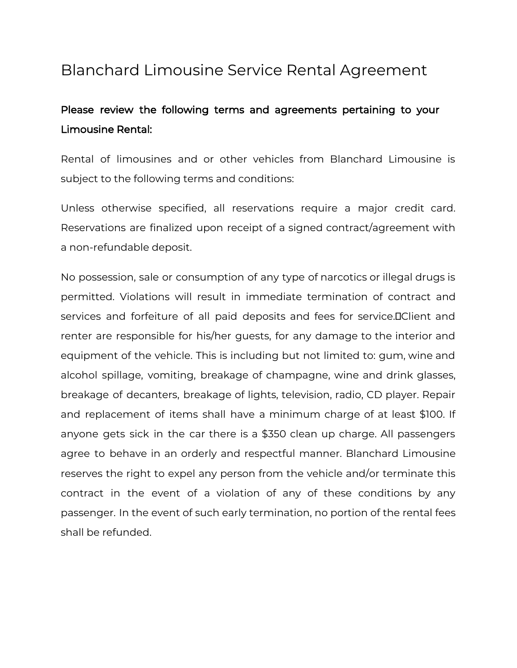## Blanchard Limousine Service Rental Agreement

## Please review the following terms and agreements pertaining to your Limousine Rental:

Rental of limousines and or other vehicles from Blanchard Limousine is subject to the following terms and conditions:

Unless otherwise specified, all reservations require a major credit card. Reservations are finalized upon receipt of a signed contract/agreement with a non-refundable deposit.

No possession, sale or consumption of any type of narcotics or illegal drugs is permitted. Violations will result in immediate termination of contract and services and forfeiture of all paid deposits and fees for service.DClient and renter are responsible for his/her guests, for any damage to the interior and equipment of the vehicle. This is including but not limited to: gum, wine and alcohol spillage, vomiting, breakage of champagne, wine and drink glasses, breakage of decanters, breakage of lights, television, radio, CD player. Repair and replacement of items shall have a minimum charge of at least \$100. If anyone gets sick in the car there is a \$350 clean up charge. All passengers agree to behave in an orderly and respectful manner. Blanchard Limousine reserves the right to expel any person from the vehicle and/or terminate this contract in the event of a violation of any of these conditions by any passenger. In the event of such early termination, no portion of the rental fees shall be refunded.